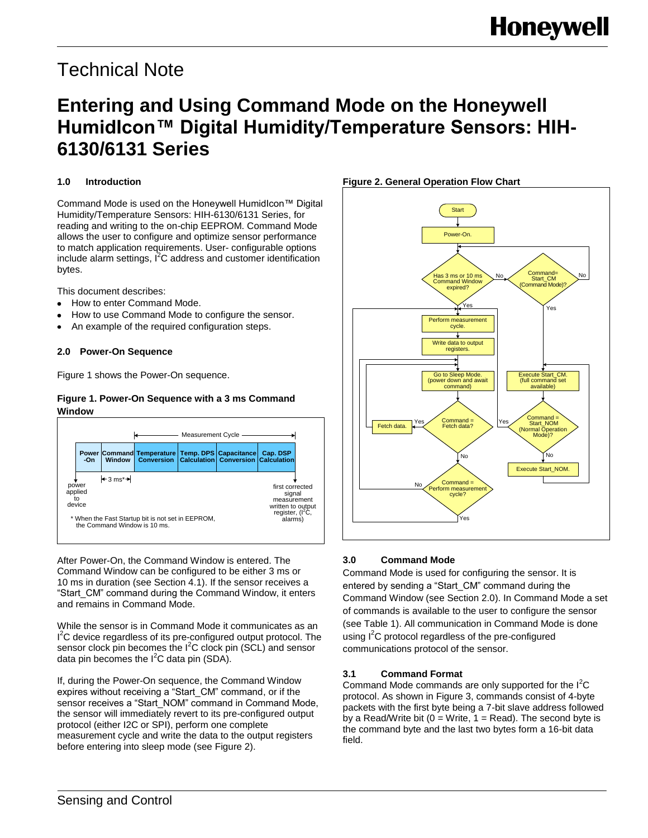# Technical Note

## **Entering and Using Command Mode on the Honeywell HumidIcon™ Digital Humidity/Temperature Sensors: HIH-6130/6131 Series**

## **1.0 Introduction**

Command Mode is used on the Honeywell HumidIcon™ Digital Humidity/Temperature Sensors: HIH-6130/6131 Series, for reading and writing to the on-chip EEPROM. Command Mode allows the user to configure and optimize sensor performance to match application requirements. User- configurable options include alarm settings, I<sup>2</sup>C address and customer identification bytes.

This document describes:

- How to enter Command Mode.
- How to use Command Mode to configure the sensor.
- An example of the required configuration steps.

### **2.0 Power-On Sequence**

Figure 1 shows the Power-On sequence.

### **Figure 1. Power-On Sequence with a 3 ms Command Window**



After Power-On, the Command Window is entered. The Command Window can be configured to be either 3 ms or 10 ms in duration (see Section 4.1). If the sensor receives a "Start\_CM" command during the Command Window, it enters and remains in Command Mode.

While the sensor is in Command Mode it communicates as an <sup>2</sup>C device regardless of its pre-configured output protocol. The sensor clock pin becomes the  $I^2C$  clock pin (SCL) and sensor data pin becomes the  $I^2C$  data pin (SDA).

If, during the Power-On sequence, the Command Window expires without receiving a "Start\_CM" command, or if the sensor receives a "Start\_NOM" command in Command Mode, the sensor will immediately revert to its pre-configured output protocol (either I2C or SPI), perform one complete measurement cycle and write the data to the output registers before entering into sleep mode (see Figure 2).



## **3.0 Command Mode**

Command Mode is used for configuring the sensor. It is entered by sending a "Start\_CM" command during the Command Window (see Section 2.0). In Command Mode a set of commands is available to the user to configure the sensor (see Table 1). All communication in Command Mode is done using  $I^2C$  protocol regardless of the pre-configured communications protocol of the sensor.

## **3.1 Command Format**

Command Mode commands are only supported for the I<sup>2</sup>C protocol. As shown in Figure 3, commands consist of 4-byte packets with the first byte being a 7-bit slave address followed by a Read/Write bit  $(0 = W$ rite,  $1 = Read)$ . The second byte is the command byte and the last two bytes form a 16-bit data field.

### **Figure 2. General Operation Flow Chart**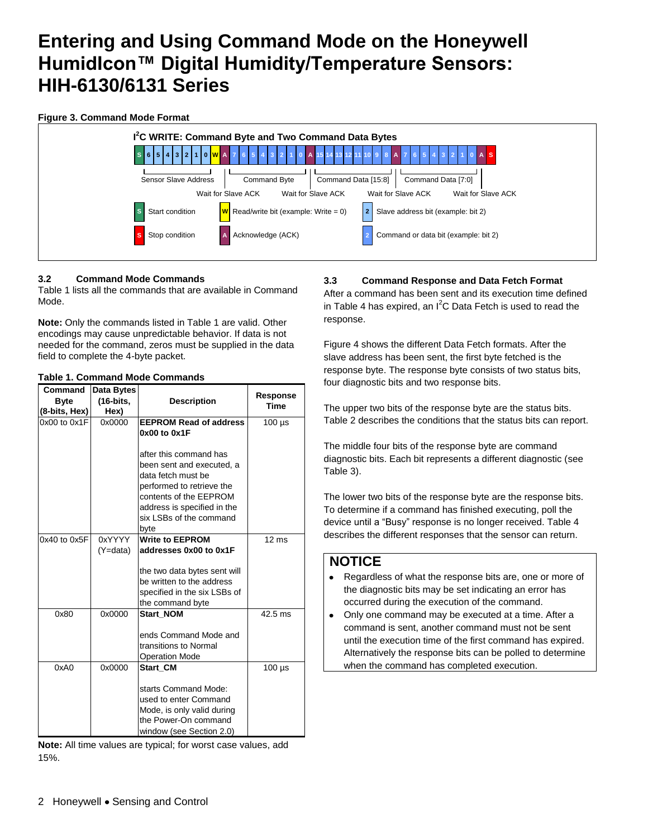## **Figure 3. Command Mode Format**

| Sensor Slave Address<br>Command Byte<br>Command Data [15:8]<br>Command Data [7:0]<br>Wait for Slave ACK<br>Wait for Slave ACK<br>Wait for Slave ACK<br>Wait for Slave ACK<br>$W$ Read/write bit (example: Write = 0)<br>Slave address bit (example: bit 2)<br>Start condition<br>Acknowledge (ACK)<br>Command or data bit (example: bit 2)<br>Stop condition | 5   4   3   2   1   0 <mark>  W  </mark> A   7<br>6 | I <sup>2</sup> C WRITE: Command Byte and Two Command Data Bytes |  |
|--------------------------------------------------------------------------------------------------------------------------------------------------------------------------------------------------------------------------------------------------------------------------------------------------------------------------------------------------------------|-----------------------------------------------------|-----------------------------------------------------------------|--|
|                                                                                                                                                                                                                                                                                                                                                              |                                                     |                                                                 |  |
|                                                                                                                                                                                                                                                                                                                                                              |                                                     |                                                                 |  |
|                                                                                                                                                                                                                                                                                                                                                              |                                                     |                                                                 |  |

### **3.2 Command Mode Commands**

Table 1 lists all the commands that are available in Command Mode.

**Note:** Only the commands listed in Table 1 are valid. Other encodings may cause unpredictable behavior. If data is not needed for the command, zeros must be supplied in the data field to complete the 4-byte packet.

### **Table 1. Command Mode Commands**

| Command          | Data Bytes |                                                           |                                |
|------------------|------------|-----------------------------------------------------------|--------------------------------|
| <b>Byte</b>      | (16-bits,  | <b>Description</b>                                        | <b>Response</b><br><b>Time</b> |
| (8-bits, Hex)    | Hex)       |                                                           |                                |
| 0x00 to 0x1F     | 0x0000     | <b>EEPROM Read of address</b>                             | $100 \mu s$                    |
|                  |            | 0x00 to 0x1F                                              |                                |
|                  |            | after this command has                                    |                                |
|                  |            | been sent and executed. a                                 |                                |
|                  |            | data fetch must be                                        |                                |
|                  |            | performed to retrieve the<br>contents of the EEPROM       |                                |
|                  |            | address is specified in the                               |                                |
|                  |            | six LSBs of the command                                   |                                |
|                  |            | byte                                                      |                                |
| $0x40$ to $0x5F$ | 0xYYYY     | <b>Write to EEPROM</b>                                    | $12 \text{ ms}$                |
|                  | (Y=data)   | addresses 0x00 to 0x1F                                    |                                |
|                  |            |                                                           |                                |
|                  |            | the two data bytes sent will<br>be written to the address |                                |
|                  |            | specified in the six LSBs of                              |                                |
|                  |            | the command byte                                          |                                |
| 0x80             | 0x0000     | <b>Start NOM</b>                                          | $42.5$ ms                      |
|                  |            | ends Command Mode and                                     |                                |
|                  |            | transitions to Normal                                     |                                |
|                  |            | <b>Operation Mode</b>                                     |                                |
| 0xA0             | 0x0000     | <b>Start CM</b>                                           | $100 \mu s$                    |
|                  |            | starts Command Mode:                                      |                                |
|                  |            | used to enter Command                                     |                                |
|                  |            | Mode, is only valid during                                |                                |
|                  |            | the Power-On command                                      |                                |
|                  |            | window (see Section 2.0)                                  |                                |

**Note:** All time values are typical; for worst case values, add 15%.

### **3.3 Command Response and Data Fetch Format**

After a command has been sent and its execution time defined in Table 4 has expired, an  $I^2C$  Data Fetch is used to read the response.

Figure 4 shows the different Data Fetch formats. After the slave address has been sent, the first byte fetched is the response byte. The response byte consists of two status bits, four diagnostic bits and two response bits.

The upper two bits of the response byte are the status bits. Table 2 describes the conditions that the status bits can report.

The middle four bits of the response byte are command diagnostic bits. Each bit represents a different diagnostic (see Table 3).

The lower two bits of the response byte are the response bits. To determine if a command has finished executing, poll the device until a "Busy" response is no longer received. Table 4 describes the different responses that the sensor can return.

## **NOTICE**

- Regardless of what the response bits are, one or more of the diagnostic bits may be set indicating an error has occurred during the execution of the command.
- Only one command may be executed at a time. After a command is sent, another command must not be sent until the execution time of the first command has expired. Alternatively the response bits can be polled to determine when the command has completed execution.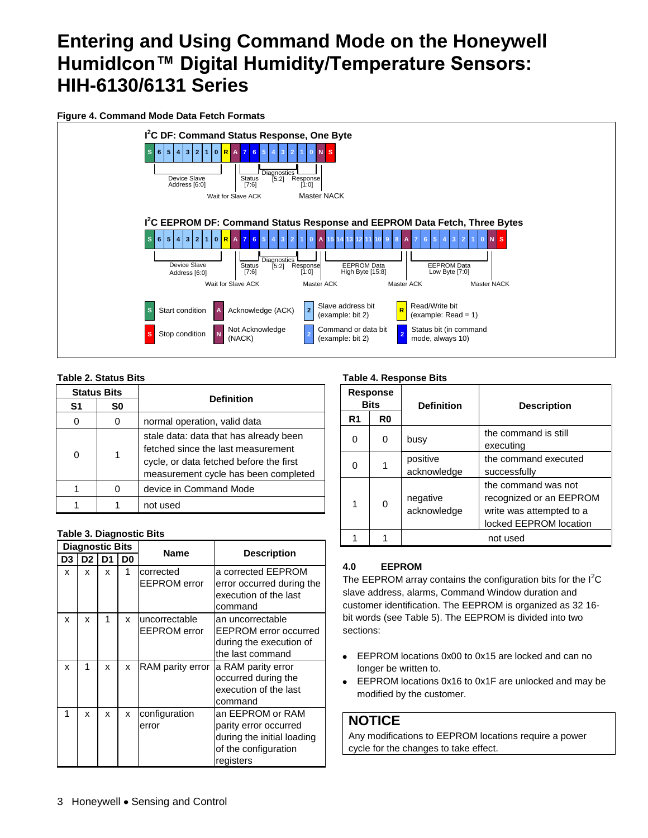**Figure 4. Command Mode Data Fetch Formats**



## **Table 2. Status Bits**

|                | <b>Status Bits</b> |                                                                                                                                                                 |
|----------------|--------------------|-----------------------------------------------------------------------------------------------------------------------------------------------------------------|
| S <sub>1</sub> | S0                 | <b>Definition</b>                                                                                                                                               |
| 0              |                    | normal operation, valid data                                                                                                                                    |
|                | 1                  | stale data: data that has already been<br>fetched since the last measurement<br>cycle, or data fetched before the first<br>measurement cycle has been completed |
|                |                    | device in Command Mode                                                                                                                                          |
|                |                    | not used                                                                                                                                                        |

### **Table 3. Diagnostic Bits**

|    | <b>Diagnostic Bits</b> |    |                | <b>Name</b>         | <b>Description</b>         |
|----|------------------------|----|----------------|---------------------|----------------------------|
| D3 | D <sub>2</sub>         | D1 | D <sub>0</sub> |                     |                            |
| x  | x                      | x  | 1              | corrected           | a corrected EEPROM         |
|    |                        |    |                | <b>EEPROM</b> error | error occurred during the  |
|    |                        |    |                |                     | execution of the last      |
|    |                        |    |                |                     | command                    |
| x  | x                      | 1  | x              | uncorrectable       | an uncorrectable           |
|    |                        |    |                | <b>EEPROM</b> error | EEPROM error occurred      |
|    |                        |    |                |                     | during the execution of    |
|    |                        |    |                |                     | the last command           |
| x  | 1                      | x  | x              | RAM parity error    | a RAM parity error         |
|    |                        |    |                |                     | occurred during the        |
|    |                        |    |                |                     | execution of the last      |
|    |                        |    |                |                     | command                    |
| 1  | x                      | x  | x              | configuration       | an EEPROM or RAM           |
|    |                        |    |                | error               | parity error occurred      |
|    |                        |    |                |                     | during the initial loading |
|    |                        |    |                |                     | of the configuration       |
|    |                        |    |                |                     | registers                  |

## **Table 4. Response Bits**

|    | Response<br><b>Bits</b> | <b>Definition</b><br><b>Description</b> |                                                                                                      |
|----|-------------------------|-----------------------------------------|------------------------------------------------------------------------------------------------------|
| R1 | R <sub>0</sub>          |                                         |                                                                                                      |
| O  | 0                       | busy                                    | the command is still<br>executing                                                                    |
| U  |                         | positive<br>acknowledge                 | the command executed<br>successfully                                                                 |
| 1  | $\Omega$                | negative<br>acknowledge                 | the command was not<br>recognized or an EEPROM<br>write was attempted to a<br>locked EEPROM location |
|    |                         |                                         | not used                                                                                             |

## **4.0 EEPROM**

The EEPROM array contains the configuration bits for the  $I^2C$ slave address, alarms, Command Window duration and customer identification. The EEPROM is organized as 32 16 bit words (see Table 5). The EEPROM is divided into two sections:

- EEPROM locations 0x00 to 0x15 are locked and can no  $\bullet$ longer be written to.
- EEPROM locations 0x16 to 0x1F are unlocked and may be  $\bullet$ modified by the customer.

## **NOTICE**

Any modifications to EEPROM locations require a power cycle for the changes to take effect.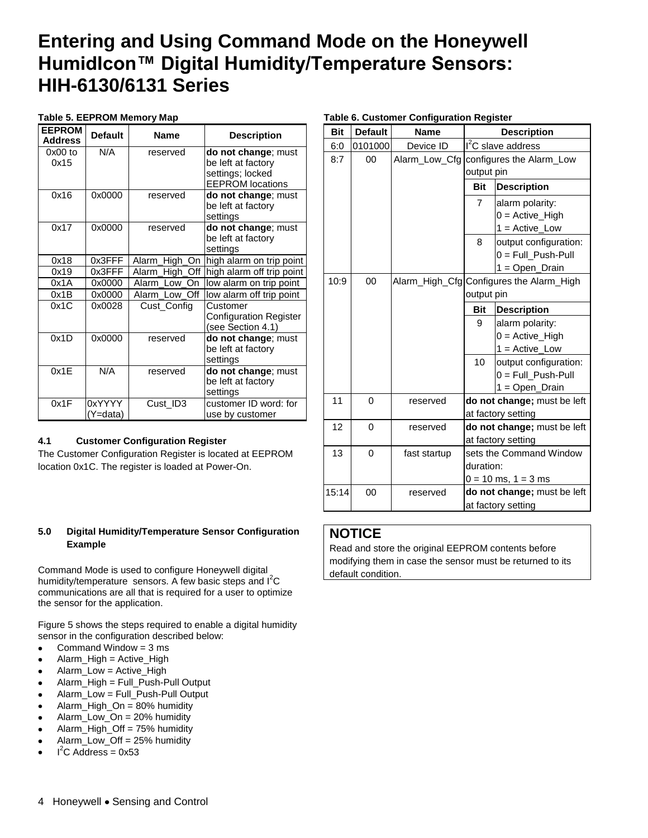## **Table 5. EEPROM Memory Map**

| <b>EEPROM</b><br><b>Address</b> | <b>Default</b>     | <b>Name</b>          | <b>Description</b>                                                                       |
|---------------------------------|--------------------|----------------------|------------------------------------------------------------------------------------------|
| $0x00$ to<br>0x15               | N/A                | reserved             | do not change; must<br>be left at factory<br>settings; locked<br><b>EEPROM</b> locations |
| 0x16                            | 0x0000             | reserved             | do not change; must<br>be left at factory<br>settings                                    |
| 0x17                            | 0x0000             | reserved             | do not change; must<br>be left at factory<br>settings                                    |
| 0x18                            | 0x3FFF             | High_On<br>Alarm     | high alarm on trip point                                                                 |
| 0x19                            | 0x3FFF             | High<br>Off<br>Alarm | high alarm off trip point                                                                |
| 0x1A                            | 0x0000             | Alarm<br>Low On      | low alarm on trip point                                                                  |
| 0x1B                            | 0x0000             | Alarm Low Off        | low alarm off trip point                                                                 |
| 0x1C                            | 0x0028             | Cust Config          | Customer<br><b>Configuration Register</b><br>(see Section 4.1)                           |
| 0x1D                            | 0x0000             | reserved             | do not change; must<br>be left at factory<br>settings                                    |
| 0x1F                            | N/A                | reserved             | do not change; must<br>be left at factory<br>settings                                    |
| 0x1F                            | 0xYYYY<br>(Y=data) | Cust ID3             | customer ID word: for<br>use by customer                                                 |

## **4.1 Customer Configuration Register**

The Customer Configuration Register is located at EEPROM location 0x1C. The register is loaded at Power-On.

### **5.0 Digital Humidity/Temperature Sensor Configuration Example**

Command Mode is used to configure Honeywell digital humidity/temperature sensors. A few basic steps and  $I^2C$ communications are all that is required for a user to optimize the sensor for the application.

Figure 5 shows the steps required to enable a digital humidity sensor in the configuration described below:

- Command Window = 3 ms  $\bullet$
- Alarm\_High = Active\_High
- Alarm\_Low = Active\_High
- Alarm\_High = Full\_Push-Pull Output
- Alarm\_Low = Full\_Push-Pull Output
- Alarm\_High\_On = 80% humidity
- Alarm\_Low\_On = 20% humidity
- Alarm\_High\_Off = 75% humidity
- Alarm\_Low\_Off = 25% humidity
- $I^2C$  Address = 0x53

| Table 6. Customer Configuration Register |  |  |  |  |
|------------------------------------------|--|--|--|--|
|------------------------------------------|--|--|--|--|

| <b>Bit</b> | <b>Default</b> | <b>Name</b>   |            | <b>Description</b>                       |
|------------|----------------|---------------|------------|------------------------------------------|
| 6:0        | 0101000        | Device ID     |            | $I2C$ slave address                      |
| 8:7        | $00\,$         | Alarm_Low_Cfg |            | configures the Alarm_Low                 |
|            |                |               | output pin |                                          |
|            |                |               | <b>Bit</b> | <b>Description</b>                       |
|            |                |               | 7          | alarm polarity:                          |
|            |                |               |            | $0 =$ Active_High                        |
|            |                |               |            | $1 = Active$ Low                         |
|            |                |               | 8          | output configuration:                    |
|            |                |               |            | 0 = Full_Push-Pull                       |
|            |                |               |            | 1 = Open_Drain                           |
| 10:9       | 00             |               |            | Alarm_High_Cfg Configures the Alarm_High |
|            |                |               | output pin |                                          |
|            |                |               | <b>Bit</b> | <b>Description</b>                       |
|            |                |               | 9          | alarm polarity:                          |
|            |                |               |            | $0 =$ Active_High                        |
|            |                |               |            | $1 =$ Active Low                         |
|            |                |               | 10         | output configuration:                    |
|            |                |               |            | 0 = Full_Push-Pull                       |
|            |                |               |            | 1 = Open_Drain                           |
| 11         | 0              | reserved      |            | do not change; must be left              |
|            |                |               |            | at factory setting                       |
| 12         | 0              | reserved      |            | do not change; must be left              |
|            |                |               |            | at factory setting                       |
| 13         | 0              | fast startup  |            | sets the Command Window                  |
|            |                |               | duration:  |                                          |
|            |                |               |            | $0 = 10$ ms, $1 = 3$ ms                  |
| 15:14      | 00             | reserved      |            | do not change; must be left              |
|            |                |               |            | at factory setting                       |

## **NOTICE**

Read and store the original EEPROM contents before modifying them in case the sensor must be returned to its default condition.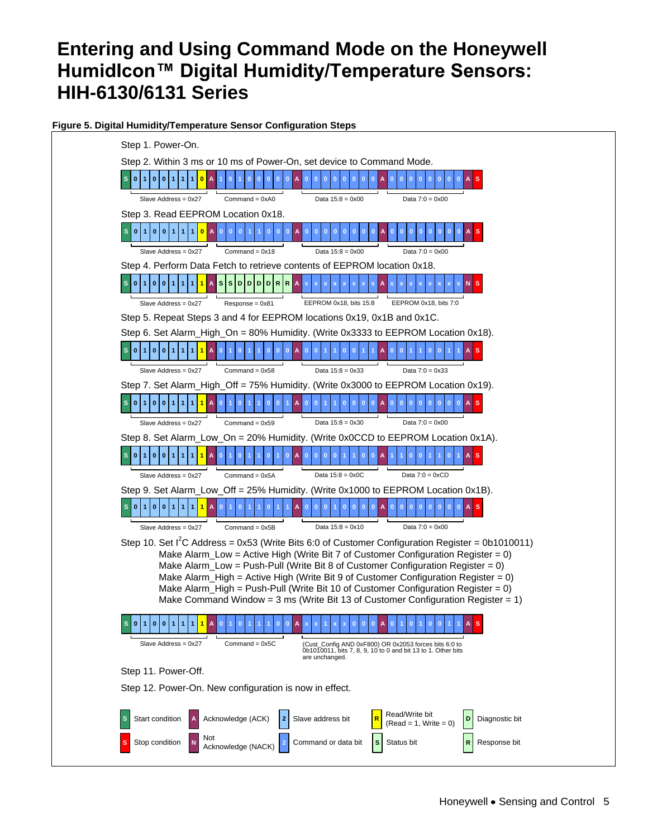## **Figure 5. Digital Humidity/Temperature Sensor Configuration Steps**

| Step 1. Power-On.                                                                                                                                                                       |
|-----------------------------------------------------------------------------------------------------------------------------------------------------------------------------------------|
| Step 2. Within 3 ms or 10 ms of Power-On, set device to Command Mode.                                                                                                                   |
| S[0 1 0 0]<br>$\mathbf{0}$<br>A<br>$\mathbf{0}$<br>$\mathbf{0}$<br>$\mathbf{0}$<br>$\overline{\phantom{0}}$<br>$\bf{0}$<br>$\mathbf{0}$                                                 |
| Data $15:8 = 0x00$<br>Data $7:0 = 0 \times 00$<br>Slave Address = 0x27<br>Command = $0xA0$                                                                                              |
| Step 3. Read EEPROM Location 0x18.                                                                                                                                                      |
| S[0 1 0 0 1 1]<br>1 <sup>1</sup><br>0A                                                                                                                                                  |
| Slave Address = $0x27$<br>Command = $0x18$<br>Data $15:8 = 0x00$<br>Data $7:0 = 0 \times 00$                                                                                            |
| Step 4. Perform Data Fetch to retrieve contents of EEPROM location 0x18.                                                                                                                |
| $1$ $1$ $A$ $S$ $S$ $D$ $D$ $D$ $R$ $R$ $A$<br>0 0 1 1 <br>S<br>0111                                                                                                                    |
| EEPROM 0x18, bits 15:8<br>EEPROM 0x18, bits 7:0<br>Slave Address = $0x27$<br>$Respose = 0x81$                                                                                           |
| Step 5. Repeat Steps 3 and 4 for EEPROM locations 0x19, 0x1B and 0x1C.                                                                                                                  |
| Step 6. Set Alarm_High_On = 80% Humidity. (Write 0x3333 to EEPROM Location 0x18).                                                                                                       |
| S[0 1 0 0 1 1]<br>111<br>$\mathbf{A}$<br>$\overline{0}$<br>$\overline{0}$<br>$\mathbf{0}$<br>$\mathbf{0}$<br>$\mathbf{0}$<br>A                                                          |
| Data $15:8 = 0x33$<br>Data $7:0 = 0 \times 33$<br>Slave Address = $0x27$<br>Command = $0x58$                                                                                            |
| Step 7. Set Alarm_High_Off = 75% Humidity. (Write 0x3000 to EEPROM Location 0x19).                                                                                                      |
| 0 <sup>10</sup><br>$\mathbf{0}$<br>$\mathbf{1}$<br>$\mathbf{1}$<br>$\mathbf{1}$<br>A                                                                                                    |
| Command = $0x59$<br>Data $15:8 = 0x30$<br>Data $7:0 = 0 \times 00$<br>Slave Address = 0x27                                                                                              |
| Step 8. Set Alarm_Low_On = 20% Humidity. (Write 0x0CCD to EEPROM Location 0x1A).                                                                                                        |
| 0 0 <br>$\mathbf{1}$<br>1 <sup>1</sup><br>1<br>1                                                                                                                                        |
| Data $15:8 = 0x0C$<br>Data $7:0 = 0 \times CD$<br>$Command = 0x5A$<br>Slave Address = $0x27$                                                                                            |
| Step 9. Set Alarm_Low_Off = 25% Humidity. (Write 0x1000 to EEPROM Location 0x1B).                                                                                                       |
| 0 0 1 1 <br>$\blacktriangleleft$                                                                                                                                                        |
| Slave Address = $0x27$<br>$Command = 0x5B$<br>Data $15:8 = 0x10$<br>Data $7:0 = 0x00$                                                                                                   |
| Step 10. Set $I^2C$ Address = 0x53 (Write Bits 6:0 of Customer Configuration Register = 0b1010011)<br>Make Alarm_Low = Active High (Write Bit 7 of Customer Configuration Register = 0) |
| Make Alarm_Low = Push-Pull (Write Bit 8 of Customer Configuration Register = $0$ )                                                                                                      |
| Make Alarm_High = Active High (Write Bit 9 of Customer Configuration Register = 0)                                                                                                      |
| Make Alarm_High = Push-Pull (Write Bit 10 of Customer Configuration Register = 0)<br>Make Command Window = 3 ms (Write Bit 13 of Customer Configuration Register = 1)                   |
|                                                                                                                                                                                         |
| 0<br>$\mathbf{0}$<br>1<br>1.<br>1 <sub>1</sub><br>0<br>1                                                                                                                                |
| Slave Address = $0x27$<br>Command = $0x5C$<br>(Cust_Config AND 0xF800) OR 0x2053 forces bits 6:0 to<br>0b1010011, bits 7, 8, 9, 10 to 0 and bit 13 to 1. Other bits<br>are unchanged.   |
| Step 11. Power-Off.                                                                                                                                                                     |
| Step 12. Power-On. New configuration is now in effect.                                                                                                                                  |
| Read/Write bit<br>Acknowledge (ACK)<br>Start condition<br>Slave address bit<br>Diagnostic bit<br>$(Read = 1, Write = 0)$                                                                |
| Not<br>Stop condition<br>Command or data bit<br>Status bit<br>Response bit<br>s<br>Acknowledge (NACK)                                                                                   |
|                                                                                                                                                                                         |